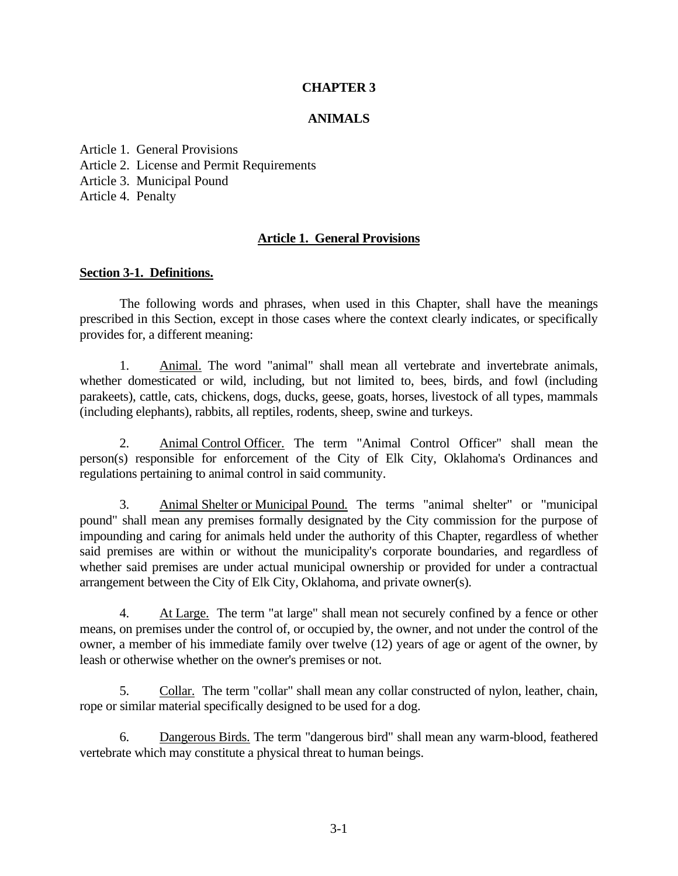### **CHAPTER 3**

#### **ANIMALS**

Article [1. General](file:///E:/Owner/AppData/Local/Microsoft/Windows/INetCache/IE/IFR1Y85I/CHAPTER3.doc%23_Toc52453486) Provisions Article 2. License and Permit [Requirements](file:///E:/Owner/AppData/Local/Microsoft/Windows/INetCache/IE/IFR1Y85I/CHAPTER3.doc%23_Toc52453487) Article [3. Municipal](file:///E:/Owner/AppData/Local/Microsoft/Windows/INetCache/IE/IFR1Y85I/CHAPTER3.doc%23_Toc52453488) Pound Article [4. Penalty](file:///E:/Owner/AppData/Local/Microsoft/Windows/INetCache/IE/IFR1Y85I/CHAPTER3.doc%23_Toc52453489)

#### **Article 1. General Provisions**

#### **Section 3-1. Definitions.**

The following words and phrases, when used in this Chapter, shall have the meanings prescribed in this Section, except in those cases where the context clearly indicates, or specifically provides for, a different meaning:

1. Animal. The word "animal" shall mean all vertebrate and invertebrate animals, whether domesticated or wild, including, but not limited to, bees, birds, and fowl (including parakeets), cattle, cats, chickens, dogs, ducks, geese, goats, horses, livestock of all types, mammals (including elephants), rabbits, all reptiles, rodents, sheep, swine and turkeys.

2. Animal Control Officer. The term "Animal Control Officer" shall mean the person(s) responsible for enforcement of the City of Elk City, Oklahoma's Ordinances and regulations pertaining to animal control in said community.

3. Animal Shelter or Municipal Pound. The terms "animal shelter" or "municipal pound" shall mean any premises formally designated by the City commission for the purpose of impounding and caring for animals held under the authority of this Chapter, regardless of whether said premises are within or without the municipality's corporate boundaries, and regardless of whether said premises are under actual municipal ownership or provided for under a contractual arrangement between the City of Elk City, Oklahoma, and private owner(s).

4. At Large. The term "at large" shall mean not securely confined by a fence or other means, on premises under the control of, or occupied by, the owner, and not under the control of the owner, a member of his immediate family over twelve (12) years of age or agent of the owner, by leash or otherwise whether on the owner's premises or not.

5. Collar. The term "collar" shall mean any collar constructed of nylon, leather, chain, rope or similar material specifically designed to be used for a dog.

6. Dangerous Birds. The term "dangerous bird" shall mean any warm-blood, feathered vertebrate which may constitute a physical threat to human beings.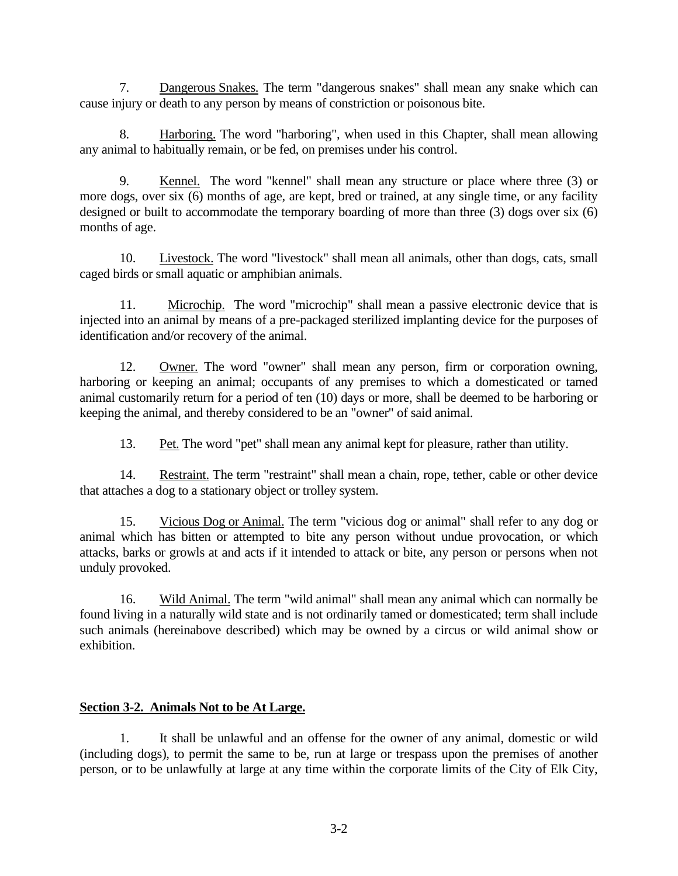7. Dangerous Snakes. The term "dangerous snakes" shall mean any snake which can cause injury or death to any person by means of constriction or poisonous bite.

8. Harboring. The word "harboring", when used in this Chapter, shall mean allowing any animal to habitually remain, or be fed, on premises under his control.

9. Kennel. The word "kennel" shall mean any structure or place where three (3) or more dogs, over six (6) months of age, are kept, bred or trained, at any single time, or any facility designed or built to accommodate the temporary boarding of more than three (3) dogs over six (6) months of age.

10. Livestock. The word "livestock" shall mean all animals, other than dogs, cats, small caged birds or small aquatic or amphibian animals.

11. Microchip. The word "microchip" shall mean a passive electronic device that is injected into an animal by means of a pre-packaged sterilized implanting device for the purposes of identification and/or recovery of the animal.

12. Owner. The word "owner" shall mean any person, firm or corporation owning, harboring or keeping an animal; occupants of any premises to which a domesticated or tamed animal customarily return for a period of ten (10) days or more, shall be deemed to be harboring or keeping the animal, and thereby considered to be an "owner" of said animal.

13. Pet. The word "pet" shall mean any animal kept for pleasure, rather than utility.

14. Restraint. The term "restraint" shall mean a chain, rope, tether, cable or other device that attaches a dog to a stationary object or trolley system.

15. Vicious Dog or Animal. The term "vicious dog or animal" shall refer to any dog or animal which has bitten or attempted to bite any person without undue provocation, or which attacks, barks or growls at and acts if it intended to attack or bite, any person or persons when not unduly provoked.

16. Wild Animal. The term "wild animal" shall mean any animal which can normally be found living in a naturally wild state and is not ordinarily tamed or domesticated; term shall include such animals (hereinabove described) which may be owned by a circus or wild animal show or exhibition.

## **Section 3-2. Animals Not to be At Large.**

1. It shall be unlawful and an offense for the owner of any animal, domestic or wild (including dogs), to permit the same to be, run at large or trespass upon the premises of another person, or to be unlawfully at large at any time within the corporate limits of the City of Elk City,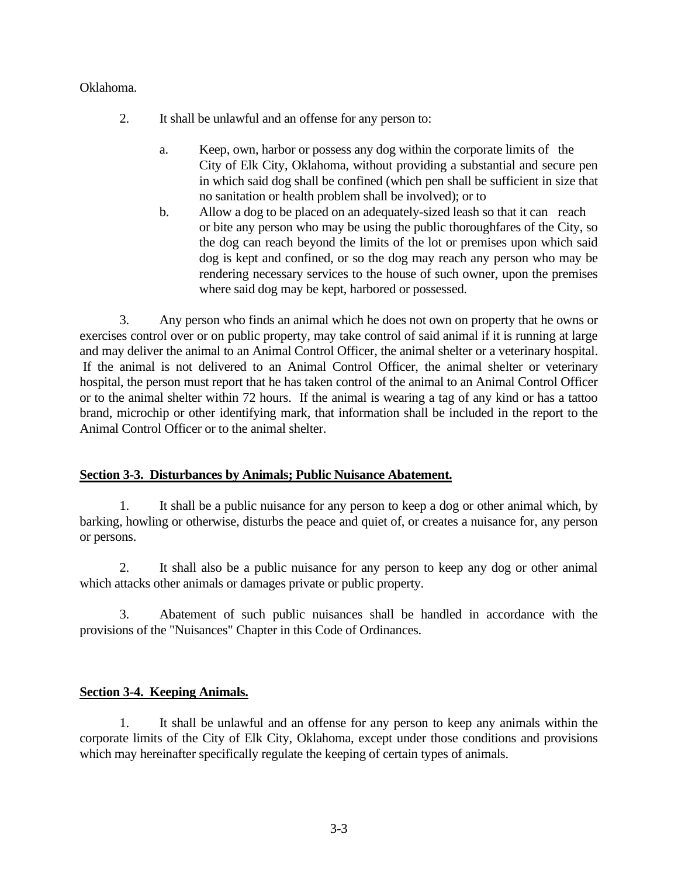## Oklahoma.

- 2. It shall be unlawful and an offense for any person to:
	- a. Keep, own, harbor or possess any dog within the corporate limits of the City of Elk City, Oklahoma, without providing a substantial and secure pen in which said dog shall be confined (which pen shall be sufficient in size that no sanitation or health problem shall be involved); or to
	- b. Allow a dog to be placed on an adequately-sized leash so that it can reach or bite any person who may be using the public thoroughfares of the City, so the dog can reach beyond the limits of the lot or premises upon which said dog is kept and confined, or so the dog may reach any person who may be rendering necessary services to the house of such owner, upon the premises where said dog may be kept, harbored or possessed.

3. Any person who finds an animal which he does not own on property that he owns or exercises control over or on public property, may take control of said animal if it is running at large and may deliver the animal to an Animal Control Officer, the animal shelter or a veterinary hospital. If the animal is not delivered to an Animal Control Officer, the animal shelter or veterinary hospital, the person must report that he has taken control of the animal to an Animal Control Officer or to the animal shelter within 72 hours. If the animal is wearing a tag of any kind or has a tattoo brand, microchip or other identifying mark, that information shall be included in the report to the Animal Control Officer or to the animal shelter.

#### **Section 3-3. Disturbances by Animals; Public Nuisance Abatement.**

1. It shall be a public nuisance for any person to keep a dog or other animal which, by barking, howling or otherwise, disturbs the peace and quiet of, or creates a nuisance for, any person or persons.

2. It shall also be a public nuisance for any person to keep any dog or other animal which attacks other animals or damages private or public property.

3. Abatement of such public nuisances shall be handled in accordance with the provisions of the "Nuisances" Chapter in this Code of Ordinances.

## **Section 3-4. Keeping Animals.**

1. It shall be unlawful and an offense for any person to keep any animals within the corporate limits of the City of Elk City, Oklahoma, except under those conditions and provisions which may hereinafter specifically regulate the keeping of certain types of animals.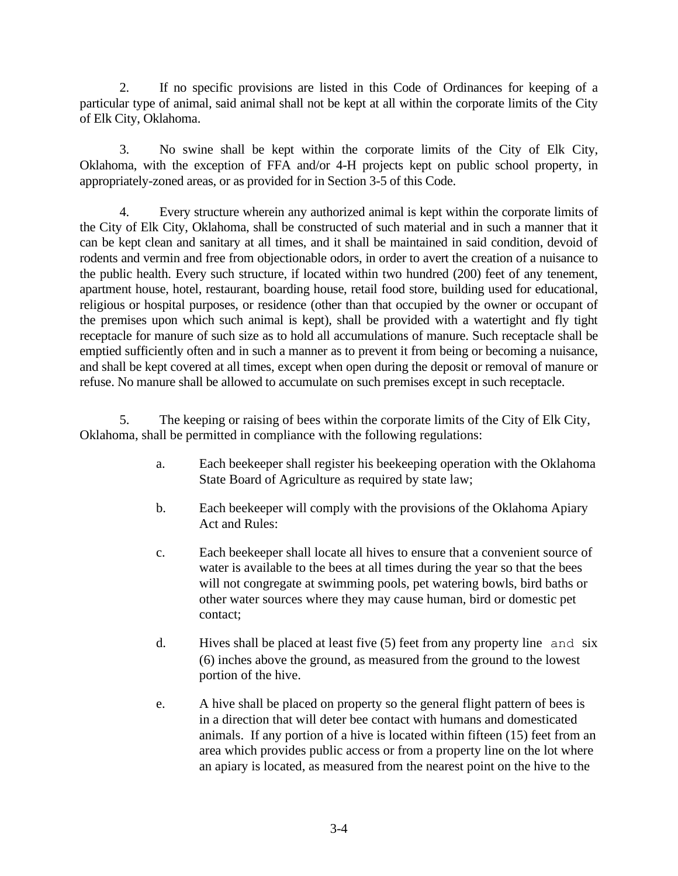2. If no specific provisions are listed in this Code of Ordinances for keeping of a particular type of animal, said animal shall not be kept at all within the corporate limits of the City of Elk City, Oklahoma.

3. No swine shall be kept within the corporate limits of the City of Elk City, Oklahoma, with the exception of FFA and/or 4-H projects kept on public school property, in appropriately-zoned areas, or as provided for in Section 3-5 of this Code.

4. Every structure wherein any authorized animal is kept within the corporate limits of the City of Elk City, Oklahoma, shall be constructed of such material and in such a manner that it can be kept clean and sanitary at all times, and it shall be maintained in said condition, devoid of rodents and vermin and free from objectionable odors, in order to avert the creation of a nuisance to the public health. Every such structure, if located within two hundred (200) feet of any tenement, apartment house, hotel, restaurant, boarding house, retail food store, building used for educational, religious or hospital purposes, or residence (other than that occupied by the owner or occupant of the premises upon which such animal is kept), shall be provided with a watertight and fly tight receptacle for manure of such size as to hold all accumulations of manure. Such receptacle shall be emptied sufficiently often and in such a manner as to prevent it from being or becoming a nuisance, and shall be kept covered at all times, except when open during the deposit or removal of manure or refuse. No manure shall be allowed to accumulate on such premises except in such receptacle.

5. The keeping or raising of bees within the corporate limits of the City of Elk City, Oklahoma, shall be permitted in compliance with the following regulations:

- a. Each beekeeper shall register his beekeeping operation with the Oklahoma State Board of Agriculture as required by state law;
- b. Each beekeeper will comply with the provisions of the Oklahoma Apiary Act and Rules:
- c. Each beekeeper shall locate all hives to ensure that a convenient source of water is available to the bees at all times during the year so that the bees will not congregate at swimming pools, pet watering bowls, bird baths or other water sources where they may cause human, bird or domestic pet contact;
- d. Hives shall be placed at least five (5) feet from any property line and six (6) inches above the ground, as measured from the ground to the lowest portion of the hive.
- e. A hive shall be placed on property so the general flight pattern of bees is in a direction that will deter bee contact with humans and domesticated animals. If any portion of a hive is located within fifteen (15) feet from an area which provides public access or from a property line on the lot where an apiary is located, as measured from the nearest point on the hive to the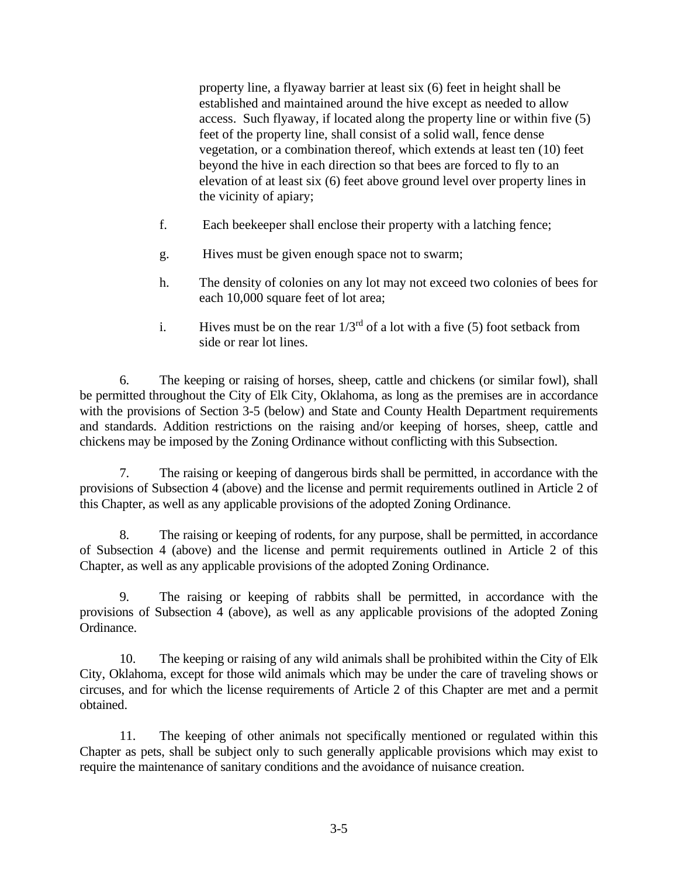property line, a flyaway barrier at least six (6) feet in height shall be established and maintained around the hive except as needed to allow access. Such flyaway, if located along the property line or within five (5) feet of the property line, shall consist of a solid wall, fence dense vegetation, or a combination thereof, which extends at least ten (10) feet beyond the hive in each direction so that bees are forced to fly to an elevation of at least six (6) feet above ground level over property lines in the vicinity of apiary;

- f. Each beekeeper shall enclose their property with a latching fence;
- g. Hives must be given enough space not to swarm;
- h. The density of colonies on any lot may not exceed two colonies of bees for each 10,000 square feet of lot area;
- i. Hives must be on the rear  $1/3<sup>rd</sup>$  of a lot with a five (5) foot setback from side or rear lot lines.

6. The keeping or raising of horses, sheep, cattle and chickens (or similar fowl), shall be permitted throughout the City of Elk City, Oklahoma, as long as the premises are in accordance with the provisions of Section 3-5 (below) and State and County Health Department requirements and standards. Addition restrictions on the raising and/or keeping of horses, sheep, cattle and chickens may be imposed by the Zoning Ordinance without conflicting with this Subsection.

7. The raising or keeping of dangerous birds shall be permitted, in accordance with the provisions of Subsection 4 (above) and the license and permit requirements outlined in Article 2 of this Chapter, as well as any applicable provisions of the adopted Zoning Ordinance.

8. The raising or keeping of rodents, for any purpose, shall be permitted, in accordance of Subsection 4 (above) and the license and permit requirements outlined in Article 2 of this Chapter, as well as any applicable provisions of the adopted Zoning Ordinance.

9. The raising or keeping of rabbits shall be permitted, in accordance with the provisions of Subsection 4 (above), as well as any applicable provisions of the adopted Zoning Ordinance.

10. The keeping or raising of any wild animals shall be prohibited within the City of Elk City, Oklahoma, except for those wild animals which may be under the care of traveling shows or circuses, and for which the license requirements of Article 2 of this Chapter are met and a permit obtained.

11. The keeping of other animals not specifically mentioned or regulated within this Chapter as pets, shall be subject only to such generally applicable provisions which may exist to require the maintenance of sanitary conditions and the avoidance of nuisance creation.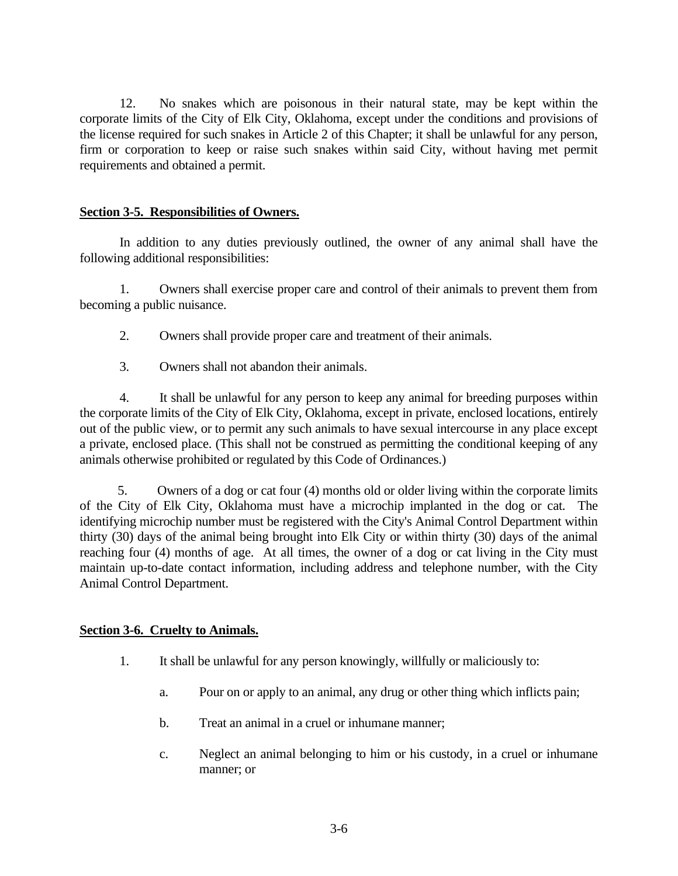12. No snakes which are poisonous in their natural state, may be kept within the corporate limits of the City of Elk City, Oklahoma, except under the conditions and provisions of the license required for such snakes in Article 2 of this Chapter; it shall be unlawful for any person, firm or corporation to keep or raise such snakes within said City, without having met permit requirements and obtained a permit.

### **Section 3-5. Responsibilities of Owners.**

In addition to any duties previously outlined, the owner of any animal shall have the following additional responsibilities:

1. Owners shall exercise proper care and control of their animals to prevent them from becoming a public nuisance.

- 2. Owners shall provide proper care and treatment of their animals.
- 3. Owners shall not abandon their animals.

4. It shall be unlawful for any person to keep any animal for breeding purposes within the corporate limits of the City of Elk City, Oklahoma, except in private, enclosed locations, entirely out of the public view, or to permit any such animals to have sexual intercourse in any place except a private, enclosed place. (This shall not be construed as permitting the conditional keeping of any animals otherwise prohibited or regulated by this Code of Ordinances.)

 5. Owners of a dog or cat four (4) months old or older living within the corporate limits of the City of Elk City, Oklahoma must have a microchip implanted in the dog or cat. The identifying microchip number must be registered with the City's Animal Control Department within thirty (30) days of the animal being brought into Elk City or within thirty (30) days of the animal reaching four (4) months of age. At all times, the owner of a dog or cat living in the City must maintain up-to-date contact information, including address and telephone number, with the City Animal Control Department.

#### **Section 3-6. Cruelty to Animals.**

- 1. It shall be unlawful for any person knowingly, willfully or maliciously to:
	- a. Pour on or apply to an animal, any drug or other thing which inflicts pain;
	- b. Treat an animal in a cruel or inhumane manner;
	- c. Neglect an animal belonging to him or his custody, in a cruel or inhumane manner; or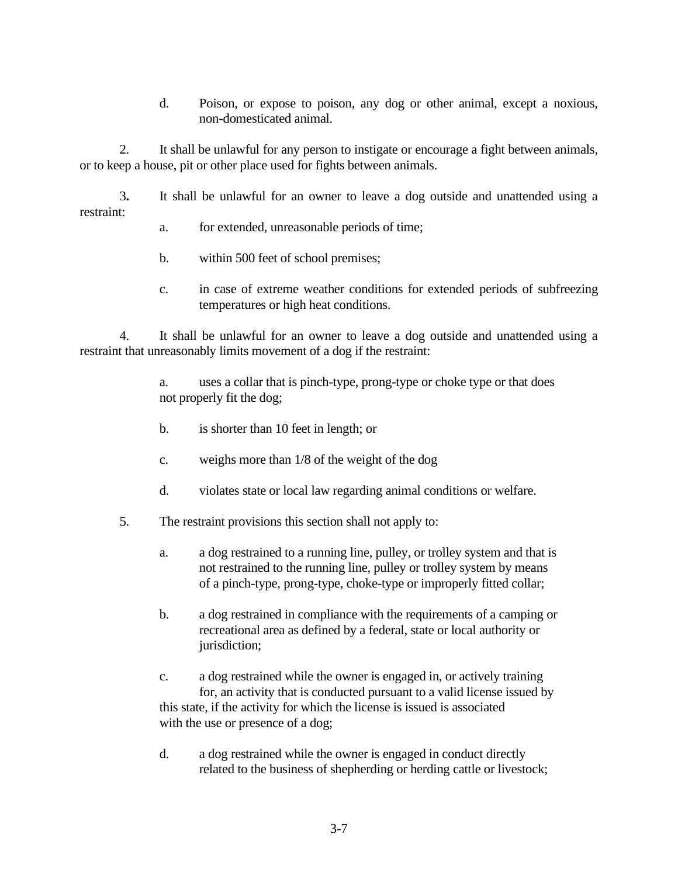d. Poison, or expose to poison, any dog or other animal, except a noxious, non-domesticated animal.

2. It shall be unlawful for any person to instigate or encourage a fight between animals, or to keep a house, pit or other place used for fights between animals.

3**.** It shall be unlawful for an owner to leave a dog outside and unattended using a restraint:

- a. for extended, unreasonable periods of time;
- b. within 500 feet of school premises;
- c. in case of extreme weather conditions for extended periods of subfreezing temperatures or high heat conditions.

4. It shall be unlawful for an owner to leave a dog outside and unattended using a restraint that unreasonably limits movement of a dog if the restraint:

> a. uses a collar that is pinch-type, prong-type or choke type or that does not properly fit the dog;

- b. is shorter than 10 feet in length; or
- c. weighs more than 1/8 of the weight of the dog
- d. violates state or local law regarding animal conditions or welfare.
- 5. The restraint provisions this section shall not apply to:
	- a. a dog restrained to a running line, pulley, or trolley system and that is not restrained to the running line, pulley or trolley system by means of a pinch-type, prong-type, choke-type or improperly fitted collar;
	- b. a dog restrained in compliance with the requirements of a camping or recreational area as defined by a federal, state or local authority or jurisdiction;

c. a dog restrained while the owner is engaged in, or actively training for, an activity that is conducted pursuant to a valid license issued by this state, if the activity for which the license is issued is associated with the use or presence of a dog;

d. a dog restrained while the owner is engaged in conduct directly related to the business of shepherding or herding cattle or livestock;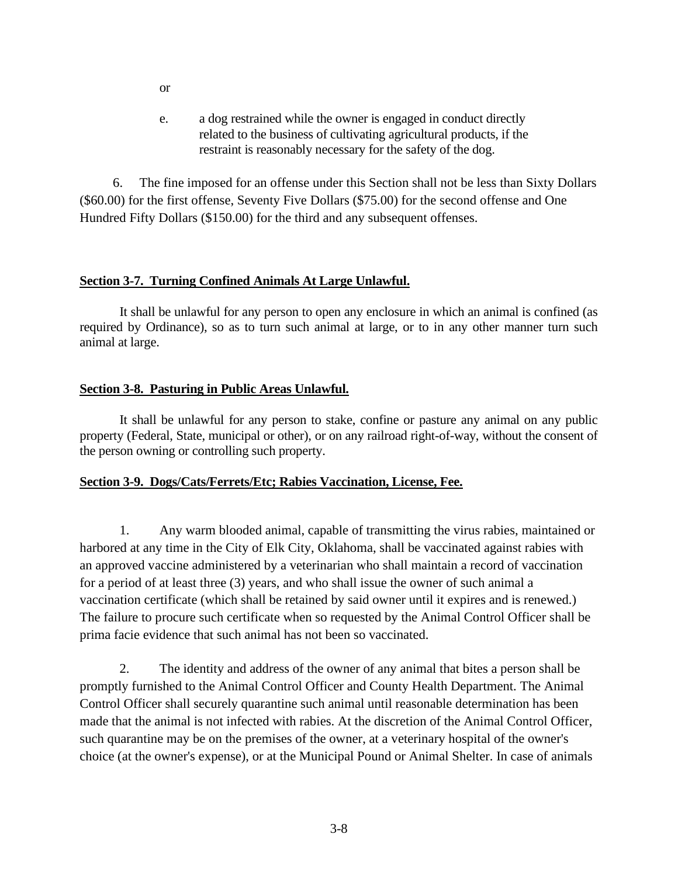e. a dog restrained while the owner is engaged in conduct directly related to the business of cultivating agricultural products, if the restraint is reasonably necessary for the safety of the dog.

 6. The fine imposed for an offense under this Section shall not be less than Sixty Dollars (\$60.00) for the first offense, Seventy Five Dollars (\$75.00) for the second offense and One Hundred Fifty Dollars (\$150.00) for the third and any subsequent offenses.

#### **Section 3-7. Turning Confined Animals At Large Unlawful.**

It shall be unlawful for any person to open any enclosure in which an animal is confined (as required by Ordinance), so as to turn such animal at large, or to in any other manner turn such animal at large.

# **Section 3-8. Pasturing in Public Areas Unlawful.**

It shall be unlawful for any person to stake, confine or pasture any animal on any public property (Federal, State, municipal or other), or on any railroad right-of-way, without the consent of the person owning or controlling such property.

## **Section 3-9. Dogs/Cats/Ferrets/Etc; Rabies Vaccination, License, Fee.**

 1. Any warm blooded animal, capable of transmitting the virus rabies, maintained or harbored at any time in the City of Elk City, Oklahoma, shall be vaccinated against rabies with an approved vaccine administered by a veterinarian who shall maintain a record of vaccination for a period of at least three (3) years, and who shall issue the owner of such animal a vaccination certificate (which shall be retained by said owner until it expires and is renewed.) The failure to procure such certificate when so requested by the Animal Control Officer shall be prima facie evidence that such animal has not been so vaccinated.

 2. The identity and address of the owner of any animal that bites a person shall be promptly furnished to the Animal Control Officer and County Health Department. The Animal Control Officer shall securely quarantine such animal until reasonable determination has been made that the animal is not infected with rabies. At the discretion of the Animal Control Officer, such quarantine may be on the premises of the owner, at a veterinary hospital of the owner's choice (at the owner's expense), or at the Municipal Pound or Animal Shelter. In case of animals

or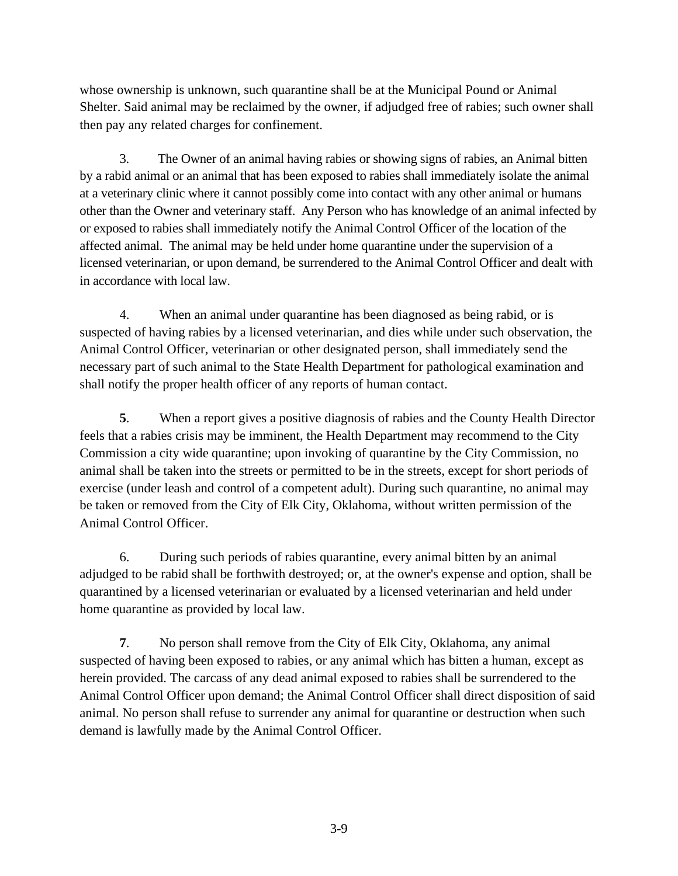whose ownership is unknown, such quarantine shall be at the Municipal Pound or Animal Shelter. Said animal may be reclaimed by the owner, if adjudged free of rabies; such owner shall then pay any related charges for confinement.

3. The Owner of an animal having rabies or showing signs of rabies, an Animal bitten by a rabid animal or an animal that has been exposed to rabies shall immediately isolate the animal at a veterinary clinic where it cannot possibly come into contact with any other animal or humans other than the Owner and veterinary staff. Any Person who has knowledge of an animal infected by or exposed to rabies shall immediately notify the Animal Control Officer of the location of the affected animal. The animal may be held under home quarantine under the supervision of a licensed veterinarian, or upon demand, be surrendered to the Animal Control Officer and dealt with in accordance with local law.

4. When an animal under quarantine has been diagnosed as being rabid, or is suspected of having rabies by a licensed veterinarian, and dies while under such observation, the Animal Control Officer, veterinarian or other designated person, shall immediately send the necessary part of such animal to the State Health Department for pathological examination and shall notify the proper health officer of any reports of human contact.

 **5**. When a report gives a positive diagnosis of rabies and the County Health Director feels that a rabies crisis may be imminent, the Health Department may recommend to the City Commission a city wide quarantine; upon invoking of quarantine by the City Commission, no animal shall be taken into the streets or permitted to be in the streets, except for short periods of exercise (under leash and control of a competent adult). During such quarantine, no animal may be taken or removed from the City of Elk City, Oklahoma, without written permission of the Animal Control Officer.

 6. During such periods of rabies quarantine, every animal bitten by an animal adjudged to be rabid shall be forthwith destroyed; or, at the owner's expense and option, shall be quarantined by a licensed veterinarian or evaluated by a licensed veterinarian and held under home quarantine as provided by local law.

 **7**. No person shall remove from the City of Elk City, Oklahoma, any animal suspected of having been exposed to rabies, or any animal which has bitten a human, except as herein provided. The carcass of any dead animal exposed to rabies shall be surrendered to the Animal Control Officer upon demand; the Animal Control Officer shall direct disposition of said animal. No person shall refuse to surrender any animal for quarantine or destruction when such demand is lawfully made by the Animal Control Officer.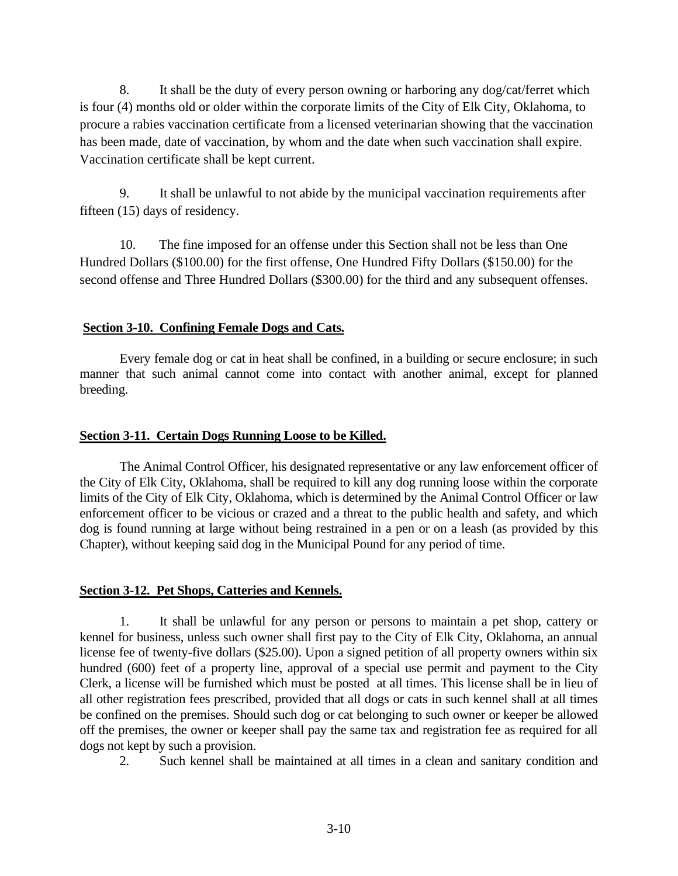8. It shall be the duty of every person owning or harboring any dog/cat/ferret which is four (4) months old or older within the corporate limits of the City of Elk City, Oklahoma, to procure a rabies vaccination certificate from a licensed veterinarian showing that the vaccination has been made, date of vaccination, by whom and the date when such vaccination shall expire. Vaccination certificate shall be kept current.

 9. It shall be unlawful to not abide by the municipal vaccination requirements after fifteen (15) days of residency.

 10. The fine imposed for an offense under this Section shall not be less than One Hundred Dollars (\$100.00) for the first offense, One Hundred Fifty Dollars (\$150.00) for the second offense and Three Hundred Dollars (\$300.00) for the third and any subsequent offenses.

#### **Section 3-10. Confining Female Dogs and Cats.**

Every female dog or cat in heat shall be confined, in a building or secure enclosure; in such manner that such animal cannot come into contact with another animal, except for planned breeding.

#### **Section 3-11. Certain Dogs Running Loose to be Killed.**

The Animal Control Officer, his designated representative or any law enforcement officer of the City of Elk City, Oklahoma, shall be required to kill any dog running loose within the corporate limits of the City of Elk City, Oklahoma, which is determined by the Animal Control Officer or law enforcement officer to be vicious or crazed and a threat to the public health and safety, and which dog is found running at large without being restrained in a pen or on a leash (as provided by this Chapter), without keeping said dog in the Municipal Pound for any period of time.

#### **Section 3-12. Pet Shops, Catteries and Kennels.**

1. It shall be unlawful for any person or persons to maintain a pet shop, cattery or kennel for business, unless such owner shall first pay to the City of Elk City, Oklahoma, an annual license fee of twenty-five dollars (\$25.00). Upon a signed petition of all property owners within six hundred (600) feet of a property line, approval of a special use permit and payment to the City Clerk, a license will be furnished which must be posted at all times. This license shall be in lieu of all other registration fees prescribed, provided that all dogs or cats in such kennel shall at all times be confined on the premises. Should such dog or cat belonging to such owner or keeper be allowed off the premises, the owner or keeper shall pay the same tax and registration fee as required for all dogs not kept by such a provision.

2. Such kennel shall be maintained at all times in a clean and sanitary condition and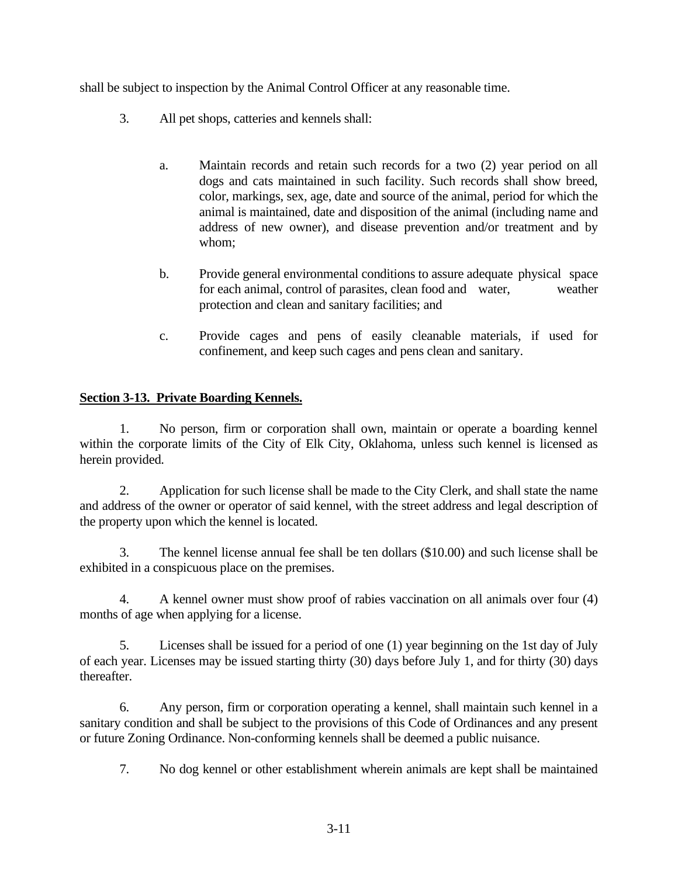shall be subject to inspection by the Animal Control Officer at any reasonable time.

- 3. All pet shops, catteries and kennels shall:
	- a. Maintain records and retain such records for a two (2) year period on all dogs and cats maintained in such facility. Such records shall show breed, color, markings, sex, age, date and source of the animal, period for which the animal is maintained, date and disposition of the animal (including name and address of new owner), and disease prevention and/or treatment and by whom;
	- b. Provide general environmental conditions to assure adequate physical space for each animal, control of parasites, clean food and water, weather protection and clean and sanitary facilities; and
	- c. Provide cages and pens of easily cleanable materials, if used for confinement, and keep such cages and pens clean and sanitary.

# **Section 3-13. Private Boarding Kennels.**

1. No person, firm or corporation shall own, maintain or operate a boarding kennel within the corporate limits of the City of Elk City, Oklahoma, unless such kennel is licensed as herein provided.

2. Application for such license shall be made to the City Clerk, and shall state the name and address of the owner or operator of said kennel, with the street address and legal description of the property upon which the kennel is located.

3. The kennel license annual fee shall be ten dollars (\$10.00) and such license shall be exhibited in a conspicuous place on the premises.

4. A kennel owner must show proof of rabies vaccination on all animals over four (4) months of age when applying for a license.

5. Licenses shall be issued for a period of one (1) year beginning on the 1st day of July of each year. Licenses may be issued starting thirty (30) days before July 1, and for thirty (30) days thereafter.

6. Any person, firm or corporation operating a kennel, shall maintain such kennel in a sanitary condition and shall be subject to the provisions of this Code of Ordinances and any present or future Zoning Ordinance. Non-conforming kennels shall be deemed a public nuisance.

7. No dog kennel or other establishment wherein animals are kept shall be maintained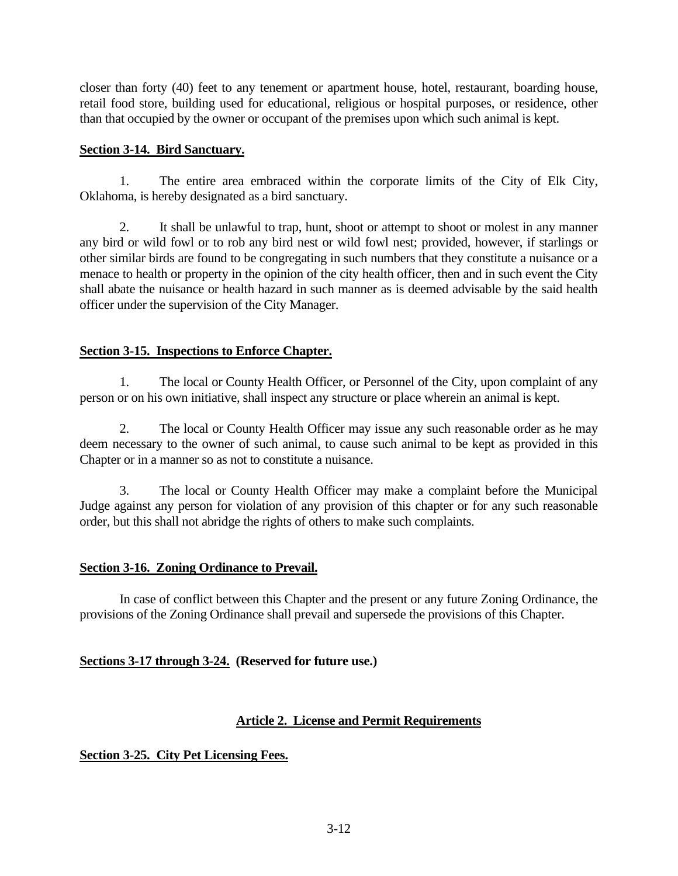closer than forty (40) feet to any tenement or apartment house, hotel, restaurant, boarding house, retail food store, building used for educational, religious or hospital purposes, or residence, other than that occupied by the owner or occupant of the premises upon which such animal is kept.

### **Section 3-14. Bird Sanctuary.**

1. The entire area embraced within the corporate limits of the City of Elk City, Oklahoma, is hereby designated as a bird sanctuary.

2. It shall be unlawful to trap, hunt, shoot or attempt to shoot or molest in any manner any bird or wild fowl or to rob any bird nest or wild fowl nest; provided, however, if starlings or other similar birds are found to be congregating in such numbers that they constitute a nuisance or a menace to health or property in the opinion of the city health officer, then and in such event the City shall abate the nuisance or health hazard in such manner as is deemed advisable by the said health officer under the supervision of the City Manager.

## **Section 3-15. Inspections to Enforce Chapter.**

1. The local or County Health Officer, or Personnel of the City, upon complaint of any person or on his own initiative, shall inspect any structure or place wherein an animal is kept.

2. The local or County Health Officer may issue any such reasonable order as he may deem necessary to the owner of such animal, to cause such animal to be kept as provided in this Chapter or in a manner so as not to constitute a nuisance.

3. The local or County Health Officer may make a complaint before the Municipal Judge against any person for violation of any provision of this chapter or for any such reasonable order, but this shall not abridge the rights of others to make such complaints.

## **Section 3-16. Zoning Ordinance to Prevail.**

In case of conflict between this Chapter and the present or any future Zoning Ordinance, the provisions of the Zoning Ordinance shall prevail and supersede the provisions of this Chapter.

## **Sections 3-17 through 3-24. (Reserved for future use.)**

## **Article 2. License and Permit Requirements**

**Section 3-25. City Pet Licensing Fees.**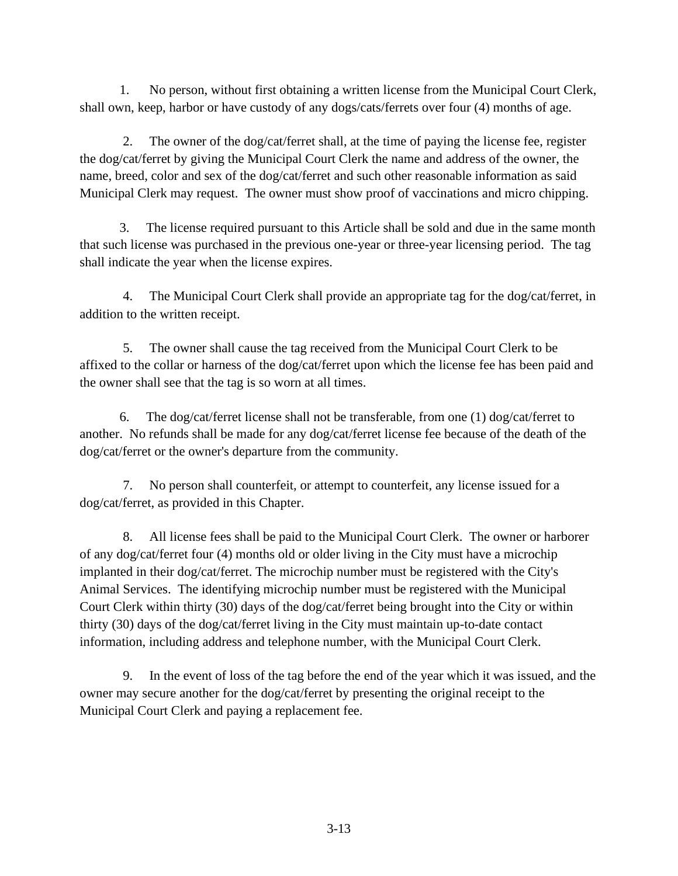1. No person, without first obtaining a written license from the Municipal Court Clerk, shall own, keep, harbor or have custody of any dogs/cats/ferrets over four (4) months of age.

 2. The owner of the dog/cat/ferret shall, at the time of paying the license fee, register the dog/cat/ferret by giving the Municipal Court Clerk the name and address of the owner, the name, breed, color and sex of the dog/cat/ferret and such other reasonable information as said Municipal Clerk may request. The owner must show proof of vaccinations and micro chipping.

 3. The license required pursuant to this Article shall be sold and due in the same month that such license was purchased in the previous one-year or three-year licensing period. The tag shall indicate the year when the license expires.

 4. The Municipal Court Clerk shall provide an appropriate tag for the dog/cat/ferret, in addition to the written receipt.

 5. The owner shall cause the tag received from the Municipal Court Clerk to be affixed to the collar or harness of the dog/cat/ferret upon which the license fee has been paid and the owner shall see that the tag is so worn at all times.

6. The dog/cat/ferret license shall not be transferable, from one  $(1)$  dog/cat/ferret to another. No refunds shall be made for any dog/cat/ferret license fee because of the death of the dog/cat/ferret or the owner's departure from the community.

 7. No person shall counterfeit, or attempt to counterfeit, any license issued for a dog/cat/ferret, as provided in this Chapter.

 8. All license fees shall be paid to the Municipal Court Clerk. The owner or harborer of any dog/cat/ferret four (4) months old or older living in the City must have a microchip implanted in their dog/cat/ferret. The microchip number must be registered with the City's Animal Services. The identifying microchip number must be registered with the Municipal Court Clerk within thirty (30) days of the dog/cat/ferret being brought into the City or within thirty (30) days of the dog/cat/ferret living in the City must maintain up-to-date contact information, including address and telephone number, with the Municipal Court Clerk.

 9. In the event of loss of the tag before the end of the year which it was issued, and the owner may secure another for the dog/cat/ferret by presenting the original receipt to the Municipal Court Clerk and paying a replacement fee.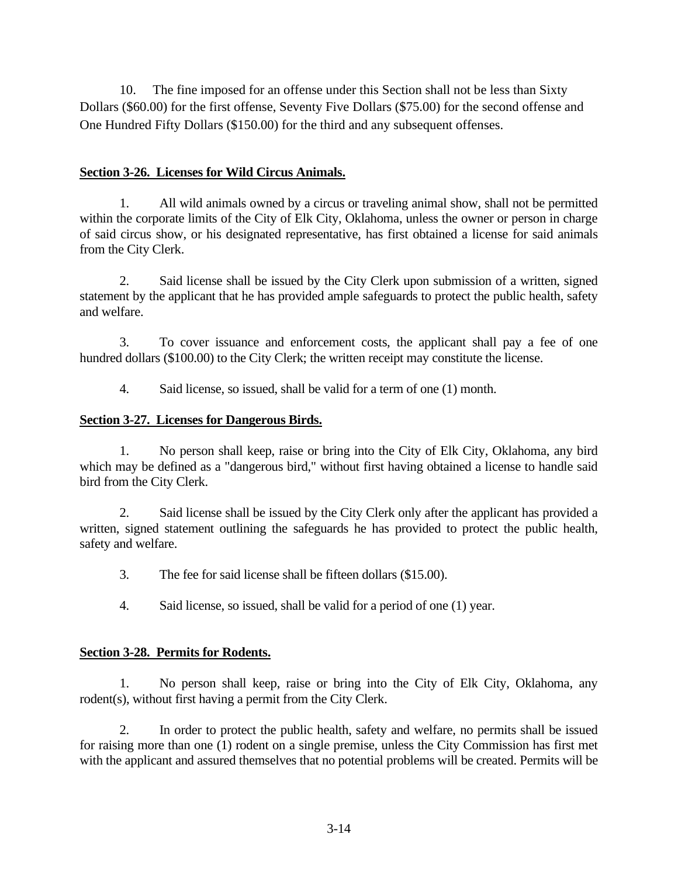10. The fine imposed for an offense under this Section shall not be less than Sixty Dollars (\$60.00) for the first offense, Seventy Five Dollars (\$75.00) for the second offense and One Hundred Fifty Dollars (\$150.00) for the third and any subsequent offenses.

#### **Section 3-26. Licenses for Wild Circus Animals.**

1. All wild animals owned by a circus or traveling animal show, shall not be permitted within the corporate limits of the City of Elk City, Oklahoma, unless the owner or person in charge of said circus show, or his designated representative, has first obtained a license for said animals from the City Clerk.

2. Said license shall be issued by the City Clerk upon submission of a written, signed statement by the applicant that he has provided ample safeguards to protect the public health, safety and welfare.

3. To cover issuance and enforcement costs, the applicant shall pay a fee of one hundred dollars (\$100.00) to the City Clerk; the written receipt may constitute the license.

4. Said license, so issued, shall be valid for a term of one (1) month.

## **Section 3-27. Licenses for Dangerous Birds.**

1. No person shall keep, raise or bring into the City of Elk City, Oklahoma, any bird which may be defined as a "dangerous bird," without first having obtained a license to handle said bird from the City Clerk.

2. Said license shall be issued by the City Clerk only after the applicant has provided a written, signed statement outlining the safeguards he has provided to protect the public health, safety and welfare.

3. The fee for said license shall be fifteen dollars (\$15.00).

4. Said license, so issued, shall be valid for a period of one (1) year.

## **Section 3-28. Permits for Rodents.**

1. No person shall keep, raise or bring into the City of Elk City, Oklahoma, any rodent(s), without first having a permit from the City Clerk.

2. In order to protect the public health, safety and welfare, no permits shall be issued for raising more than one (1) rodent on a single premise, unless the City Commission has first met with the applicant and assured themselves that no potential problems will be created. Permits will be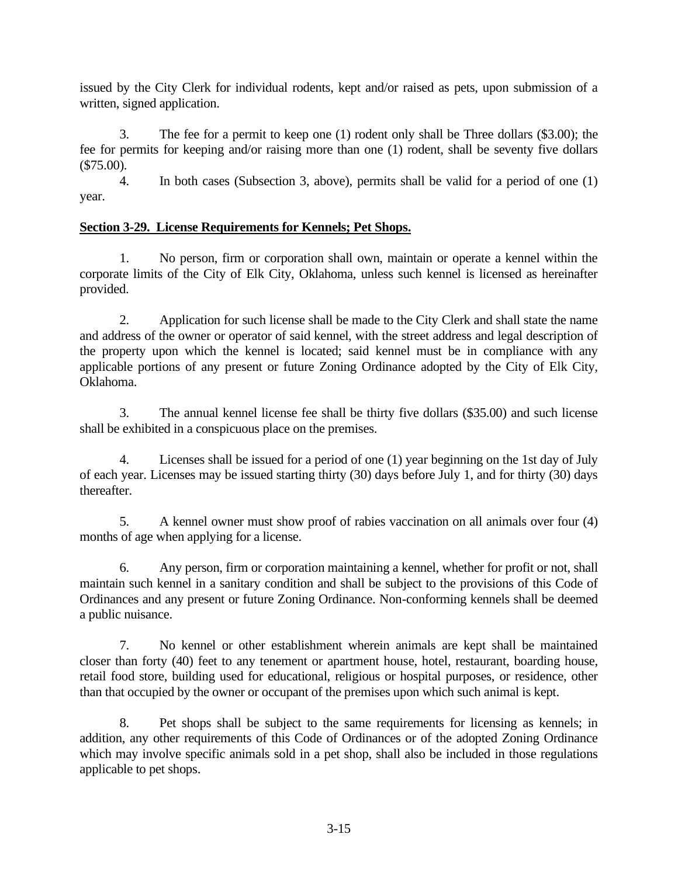issued by the City Clerk for individual rodents, kept and/or raised as pets, upon submission of a written, signed application.

3. The fee for a permit to keep one (1) rodent only shall be Three dollars (\$3.00); the fee for permits for keeping and/or raising more than one (1) rodent, shall be seventy five dollars (\$75.00).

4. In both cases (Subsection 3, above), permits shall be valid for a period of one (1) year.

# **Section 3-29. License Requirements for Kennels; Pet Shops.**

1. No person, firm or corporation shall own, maintain or operate a kennel within the corporate limits of the City of Elk City, Oklahoma, unless such kennel is licensed as hereinafter provided.

2. Application for such license shall be made to the City Clerk and shall state the name and address of the owner or operator of said kennel, with the street address and legal description of the property upon which the kennel is located; said kennel must be in compliance with any applicable portions of any present or future Zoning Ordinance adopted by the City of Elk City, Oklahoma.

3. The annual kennel license fee shall be thirty five dollars (\$35.00) and such license shall be exhibited in a conspicuous place on the premises.

4. Licenses shall be issued for a period of one (1) year beginning on the 1st day of July of each year. Licenses may be issued starting thirty (30) days before July 1, and for thirty (30) days thereafter.

5. A kennel owner must show proof of rabies vaccination on all animals over four (4) months of age when applying for a license.

6. Any person, firm or corporation maintaining a kennel, whether for profit or not, shall maintain such kennel in a sanitary condition and shall be subject to the provisions of this Code of Ordinances and any present or future Zoning Ordinance. Non-conforming kennels shall be deemed a public nuisance.

7. No kennel or other establishment wherein animals are kept shall be maintained closer than forty (40) feet to any tenement or apartment house, hotel, restaurant, boarding house, retail food store, building used for educational, religious or hospital purposes, or residence, other than that occupied by the owner or occupant of the premises upon which such animal is kept.

8. Pet shops shall be subject to the same requirements for licensing as kennels; in addition, any other requirements of this Code of Ordinances or of the adopted Zoning Ordinance which may involve specific animals sold in a pet shop, shall also be included in those regulations applicable to pet shops.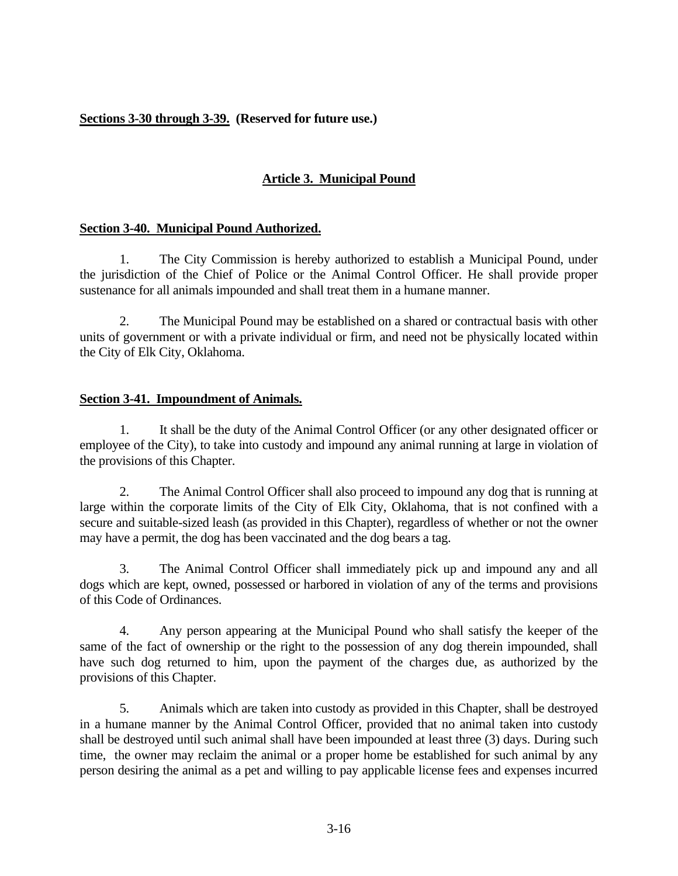## **Sections 3-30 through 3-39. (Reserved for future use.)**

# **Article 3. Municipal Pound**

## **Section 3-40. Municipal Pound Authorized.**

1. The City Commission is hereby authorized to establish a Municipal Pound, under the jurisdiction of the Chief of Police or the Animal Control Officer. He shall provide proper sustenance for all animals impounded and shall treat them in a humane manner.

2. The Municipal Pound may be established on a shared or contractual basis with other units of government or with a private individual or firm, and need not be physically located within the City of Elk City, Oklahoma.

## **Section 3-41. Impoundment of Animals.**

1. It shall be the duty of the Animal Control Officer (or any other designated officer or employee of the City), to take into custody and impound any animal running at large in violation of the provisions of this Chapter.

2. The Animal Control Officer shall also proceed to impound any dog that is running at large within the corporate limits of the City of Elk City, Oklahoma, that is not confined with a secure and suitable-sized leash (as provided in this Chapter), regardless of whether or not the owner may have a permit, the dog has been vaccinated and the dog bears a tag.

3. The Animal Control Officer shall immediately pick up and impound any and all dogs which are kept, owned, possessed or harbored in violation of any of the terms and provisions of this Code of Ordinances.

4. Any person appearing at the Municipal Pound who shall satisfy the keeper of the same of the fact of ownership or the right to the possession of any dog therein impounded, shall have such dog returned to him, upon the payment of the charges due, as authorized by the provisions of this Chapter.

5. Animals which are taken into custody as provided in this Chapter, shall be destroyed in a humane manner by the Animal Control Officer, provided that no animal taken into custody shall be destroyed until such animal shall have been impounded at least three (3) days. During such time, the owner may reclaim the animal or a proper home be established for such animal by any person desiring the animal as a pet and willing to pay applicable license fees and expenses incurred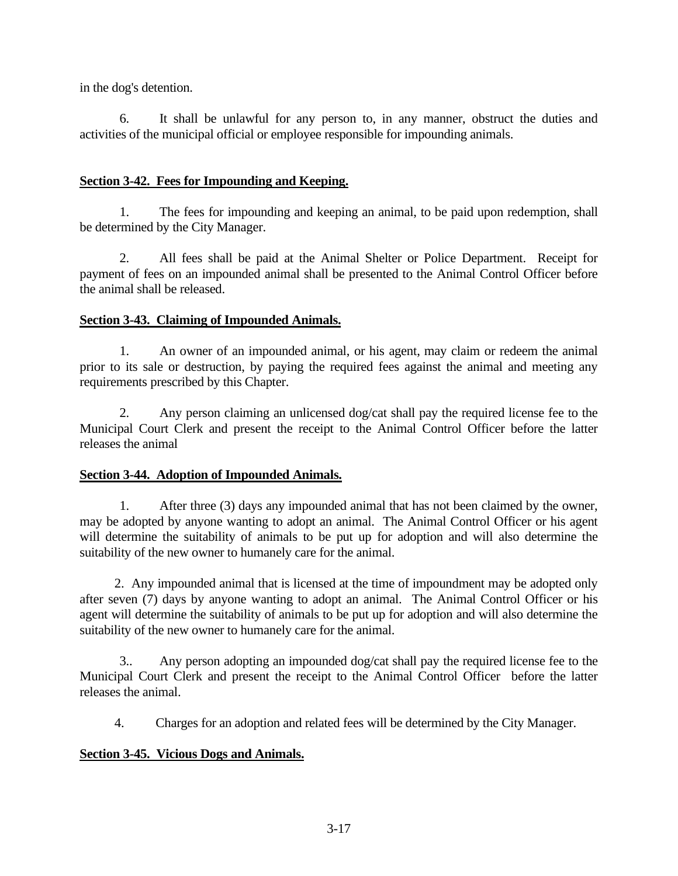in the dog's detention.

6. It shall be unlawful for any person to, in any manner, obstruct the duties and activities of the municipal official or employee responsible for impounding animals.

### **Section 3-42. Fees for Impounding and Keeping.**

1. The fees for impounding and keeping an animal, to be paid upon redemption, shall be determined by the City Manager.

2. All fees shall be paid at the Animal Shelter or Police Department. Receipt for payment of fees on an impounded animal shall be presented to the Animal Control Officer before the animal shall be released.

#### **Section 3-43. Claiming of Impounded Animals.**

1. An owner of an impounded animal, or his agent, may claim or redeem the animal prior to its sale or destruction, by paying the required fees against the animal and meeting any requirements prescribed by this Chapter.

2. Any person claiming an unlicensed dog/cat shall pay the required license fee to the Municipal Court Clerk and present the receipt to the Animal Control Officer before the latter releases the animal

#### **Section 3-44. Adoption of Impounded Animals.**

1. After three (3) days any impounded animal that has not been claimed by the owner, may be adopted by anyone wanting to adopt an animal. The Animal Control Officer or his agent will determine the suitability of animals to be put up for adoption and will also determine the suitability of the new owner to humanely care for the animal.

 2. Any impounded animal that is licensed at the time of impoundment may be adopted only after seven (7) days by anyone wanting to adopt an animal. The Animal Control Officer or his agent will determine the suitability of animals to be put up for adoption and will also determine the suitability of the new owner to humanely care for the animal.

3.. Any person adopting an impounded dog/cat shall pay the required license fee to the Municipal Court Clerk and present the receipt to the Animal Control Officer before the latter releases the animal.

4. Charges for an adoption and related fees will be determined by the City Manager.

## **Section 3-45. Vicious Dogs and Animals.**